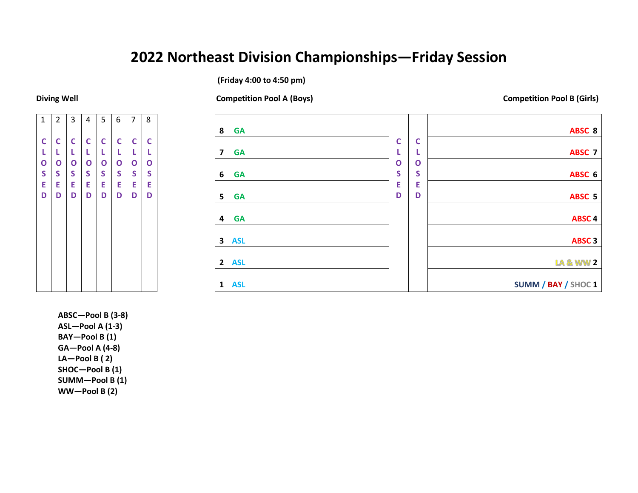## **2022 Northeast Division Championships—Friday Session**

**(Friday 4:00 to 4:50 pm)**

1 **C L O S E D** 2 **C L O S E D** 3 **C L O S E D** 4 **C L O S E D** 5 **C L O S E D** 6 **C L O S E D** 7 **C L O S E D** 8 **C L O S E D**

**8 GA C L O S E D C L O S E D ABSC 8 7 GA ABSC 7 6 GA ABSC 6 5 GA ABSC 5 4 GA ABSC 4 3 ASL ABSC 3 2 ASL 2 1 ASL SUMM / BAY / SHOC 1**

**ABSC—Pool B (3-8) ASL—Pool A (1-3) BAY—Pool B (1) GA—Pool A (4-8) LA—Pool B ( 2) SHOC—Pool B (1) SUMM—Pool B (1) WW—Pool B (2)**

**Diving Well Competition Pool A (Boys) Competition Pool B (Girls)**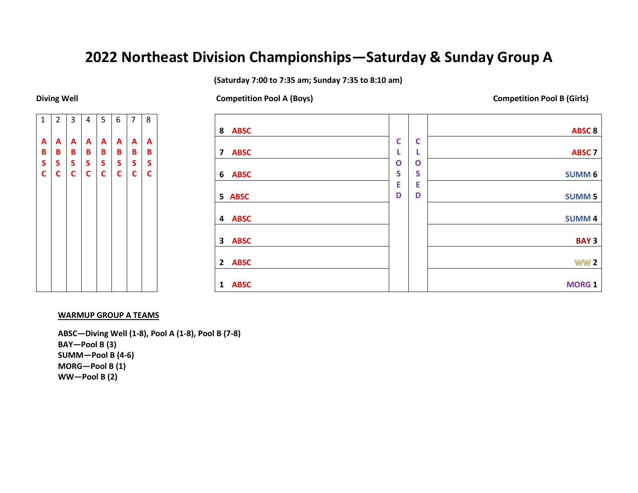# **2022 Northeast Division Championships—Saturday & Sunday Group A**

**(Saturday 7:00 to 7:35 am; Sunday 7:35 to 8:10 am)**

**Diving Well Competition Pool A (Boys) Competition Pool B (Girls)**



| 8<br><b>ABSC</b>                       |              |   | <b>ABSC 8</b> |
|----------------------------------------|--------------|---|---------------|
|                                        | $\mathsf{C}$ | C |               |
| <b>ABSC</b><br>$\overline{\mathbf{z}}$ | L            | ч | <b>ABSC 7</b> |
|                                        | $\mathbf{o}$ | O |               |
| 6<br><b>ABSC</b>                       | S            | S | <b>SUMM6</b>  |
|                                        | E            | E |               |
| <b>ABSC</b><br>5                       | D            | D | <b>SUMM 5</b> |
|                                        |              |   |               |
| <b>ABSC</b><br>4                       |              |   | <b>SUMM4</b>  |
|                                        |              |   |               |
| $\mathbf{3}$<br><b>ABSC</b>            |              |   | <b>BAY3</b>   |
|                                        |              |   |               |
| <b>ABSC</b><br>$\overline{2}$          |              |   | <b>WW 2</b>   |
|                                        |              |   |               |
| <b>ABSC</b><br>$\mathbf{1}$            |              |   | <b>MORG1</b>  |

### **WARMUP GROUP A TEAMS**

**ABSC—Diving Well (1-8), Pool A (1-8), Pool B (7-8) BAY—Pool B (3) SUMM—Pool B (4-6) MORG—Pool B (1) WW—Pool B (2)**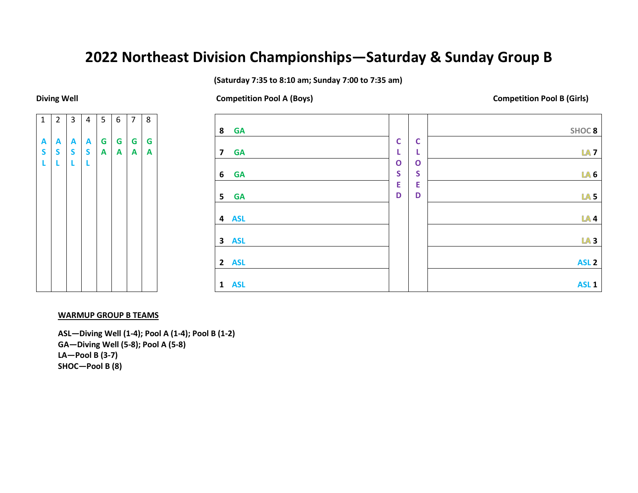## **2022 Northeast Division Championships—Saturday & Sunday Group B**

**(Saturday 7:35 to 8:10 am; Sunday 7:00 to 7:35 am)**

1 **A S L** 2 **A S L** 3 **A S L** 4 **A S L** 5 **G A** 6 **G A** 7 **G A** 8 **G A**

### **8 GA C L O S E D C L O S E D SHOC 8 7 GA 7 6 GA 6 5 GA 5 4 ASL 4 3 ASL 3 2 ASL ASL 2 1 ASL ASL 1**

## **WARMUP GROUP B TEAMS**

**ASL—Diving Well (1-4); Pool A (1-4); Pool B (1-2) GA—Diving Well (5-8); Pool A (5-8) LA—Pool B (3-7) SHOC—Pool B (8)**

**Diving Well Competition Pool A (Boys) Competition Pool B (Girls)**